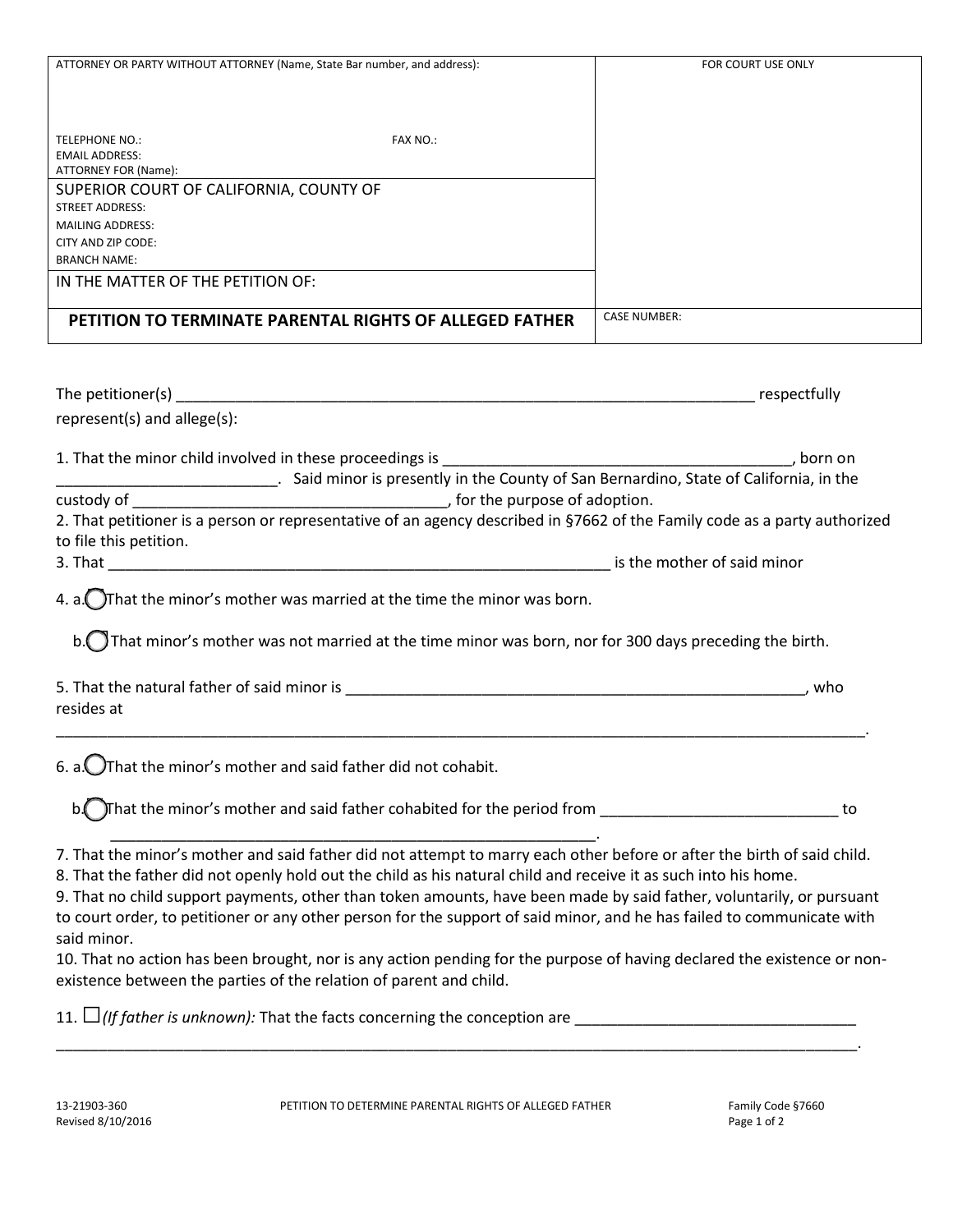| ATTORNEY OR PARTY WITHOUT ATTORNEY (Name, State Bar number, and address): |  | FOR COURT USE ONLY  |              |
|---------------------------------------------------------------------------|--|---------------------|--------------|
|                                                                           |  |                     |              |
|                                                                           |  |                     |              |
| <b>TELEPHONE NO.:</b><br><b>FAX NO.:</b>                                  |  |                     |              |
| <b>EMAIL ADDRESS:</b>                                                     |  |                     |              |
| ATTORNEY FOR (Name):                                                      |  |                     |              |
| SUPERIOR COURT OF CALIFORNIA, COUNTY OF                                   |  |                     |              |
| <b>STREET ADDRESS:</b>                                                    |  |                     |              |
| <b>MAILING ADDRESS:</b>                                                   |  |                     |              |
| CITY AND ZIP CODE:                                                        |  |                     |              |
| <b>BRANCH NAME:</b>                                                       |  |                     |              |
| IN THE MATTER OF THE PETITION OF:                                         |  |                     |              |
|                                                                           |  |                     |              |
| PETITION TO TERMINATE PARENTAL RIGHTS OF ALLEGED FATHER                   |  | <b>CASE NUMBER:</b> |              |
|                                                                           |  |                     |              |
|                                                                           |  |                     |              |
| The petitioner(s)                                                         |  |                     | respectfully |
|                                                                           |  |                     |              |

1. That the minor child involved in these proceedings is \_\_\_\_\_\_\_\_\_\_\_\_\_\_\_\_\_\_\_\_\_\_\_\_\_\_\_\_\_\_\_\_\_\_\_\_\_\_\_\_\_, born on

\_\_\_\_\_\_\_\_\_\_\_\_\_\_\_\_\_\_\_\_\_\_\_\_\_\_. Said minor is presently in the County of San Bernardino, State of California, in the custody of \_\_\_\_\_\_\_\_\_\_\_\_\_\_\_\_\_\_\_\_\_\_\_\_\_\_\_\_\_\_\_\_\_\_\_\_\_, for the purpose of adoption.

| 2. That petitioner is a person or representative of an agency described in §7662 of the Family code as a party authorized |  |
|---------------------------------------------------------------------------------------------------------------------------|--|
| to file this petition.                                                                                                    |  |

3. That \_\_\_\_\_\_\_\_\_\_\_\_\_\_\_\_\_\_\_\_\_\_\_\_\_\_\_\_\_\_\_\_\_\_\_\_\_\_\_\_\_\_\_\_\_\_\_\_\_\_\_\_\_\_\_\_\_\_\_ is the mother of said minor

represent(s) and allege(s):

4. a.  $\bigcirc$  That the minor's mother was married at the time the minor was born.

b. That minor's mother was not married at the time minor was born, nor for 300 days preceding the birth.

| 5. That the natural father of said minor is | who |
|---------------------------------------------|-----|
| resides at                                  |     |

\_\_\_\_\_\_\_\_\_\_\_\_\_\_\_\_\_\_\_\_\_\_\_\_\_\_\_\_\_\_\_\_\_\_\_\_\_\_\_\_\_\_\_\_\_\_\_\_\_\_\_\_\_\_\_\_\_\_\_\_\_\_\_\_\_\_\_\_\_\_\_\_\_\_\_\_\_\_\_\_\_\_\_\_\_\_\_\_\_\_\_\_\_\_\_.

6. a.  $\bigcirc$ That the minor's mother and said father did not cohabit.

b. That the minor's mother and said father cohabited for the period from \_\_\_\_\_\_\_\_\_\_\_\_\_\_\_\_\_\_\_\_\_\_\_\_\_\_\_\_\_\_\_\_\_ to

 \_\_\_\_\_\_\_\_\_\_\_\_\_\_\_\_\_\_\_\_\_\_\_\_\_\_\_\_\_\_\_\_\_\_\_\_\_\_\_\_\_\_\_\_\_\_\_\_\_\_\_\_\_\_\_\_\_. 7. That the minor's mother and said father did not attempt to marry each other before or after the birth of said child. 8. That the father did not openly hold out the child as his natural child and receive it as such into his home.

9. That no child support payments, other than token amounts, have been made by said father, voluntarily, or pursuant to court order, to petitioner or any other person for the support of said minor, and he has failed to communicate with said minor.

10. That no action has been brought, nor is any action pending for the purpose of having declared the existence or nonexistence between the parties of the relation of parent and child.

11. □*(If father is unknown):* That the facts concerning the conception are \_\_\_\_\_\_\_\_\_\_\_\_\_\_\_\_\_\_\_\_\_\_\_\_\_\_\_\_\_\_\_\_\_

\_\_\_\_\_\_\_\_\_\_\_\_\_\_\_\_\_\_\_\_\_\_\_\_\_\_\_\_\_\_\_\_\_\_\_\_\_\_\_\_\_\_\_\_\_\_\_\_\_\_\_\_\_\_\_\_\_\_\_\_\_\_\_\_\_\_\_\_\_\_\_\_\_\_\_\_\_\_\_\_\_\_\_\_\_\_\_\_\_\_\_\_\_\_.